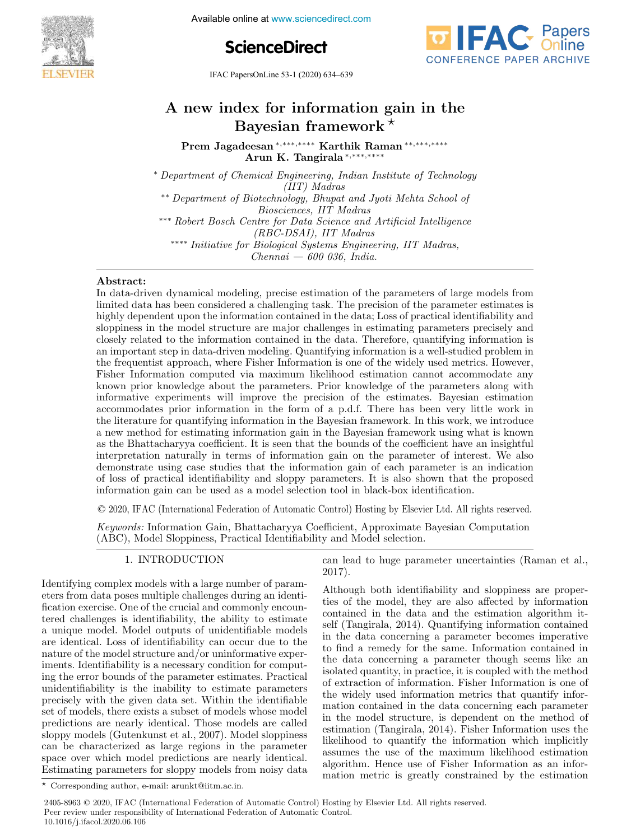Available online at www.sciencedirect.com





IFAC PapersOnLine 53-1 (2020) 634–639

# A new index for information gain in the Bayesian framework  $*$

Prem Jagadeesan <sup>∗</sup>,∗∗∗,∗∗∗∗ Karthik Raman ∗∗,∗∗∗,∗∗∗∗ Arun K. Tangirala <sup>∗</sup>,∗∗∗,∗∗∗∗

<sup>∗</sup> Department of Chemical Engineering, Indian Institute of Technology (IIT) Madras ∗∗ Department of Biotechnology, Bhupat and Jyoti Mehta School of Biosciences, IIT Madras ∗∗∗ Robert Bosch Centre for Data Science and Artificial Intelligence (RBC-DSAI), IIT Madras ∗∗∗∗ Initiative for Biological Systems Engineering, IIT Madras,  $Chennai - 600 036$ , India.

# Abstract:

In data-driven dynamical modeling, precise estimation of the parameters of large models from limited data has been considered a challenging task. The precision of the parameter estimates is highly dependent upon the information contained in the data; Loss of practical identifiability and sloppiness in the model structure are major challenges in estimating parameters precisely and closely related to the information contained in the data. Therefore, quantifying information is an important step in data-driven modeling. Quantifying information is a well-studied problem in the frequentist approach, where Fisher Information is one of the widely used metrics. However, Fisher Information computed via maximum likelihood estimation cannot accommodate any known prior knowledge about the parameters. Prior knowledge of the parameters along with informative experiments will improve the precision of the estimates. Bayesian estimation accommodates prior information in the form of a p.d.f. There has been very little work in the literature for quantifying information in the Bayesian framework. In this work, we introduce a new method for estimating information gain in the Bayesian framework using what is known as the Bhattacharyya coefficient. It is seen that the bounds of the coefficient have an insightful interpretation naturally in terms of information gain on the parameter of interest. We also demonstrate using case studies that the information gain of each parameter is an indication of loss of practical identifiability and sloppy parameters. It is also shown that the proposed information gain can be used as a model selection tool in black-box identification.

© 2020, IFAC (International Federation of Automatic Control) Hosting by Elsevier Ltd. All rights reserved.

Keywords: Information Gain, Bhattacharyya Coefficient, Approximate Bayesian Computation (ABC), Model Sloppiness, Practical Identifiability and Model selection.

# 1. INTRODUCTION

Identifying complex models with a large number of parameters from data poses multiple challenges during an identification exercise. One of the crucial and commonly encountered challenges is identifiability, the ability to estimate a unique model. Model outputs of unidentifiable models are identical. Loss of identifiability can occur due to the nature of the model structure and/or uninformative experiments. Identifiability is a necessary condition for computing the error bounds of the parameter estimates. Practical unidentifiability is the inability to estimate parameters precisely with the given data set. Within the identifiable set of models, there exists a subset of models whose model predictions are nearly identical. Those models are called sloppy models (Gutenkunst et al., 2007). Model sloppiness can be characterized as large regions in the parameter space over which model predictions are nearly identical. Estimating parameters for sloppy models from noisy data

can lead to huge parameter uncertainties (Raman et al., 2017).

Although both identifiability and sloppiness are properties of the model, they are also affected by information contained in the data and the estimation algorithm itself (Tangirala, 2014). Quantifying information contained in the data concerning a parameter becomes imperative to find a remedy for the same. Information contained in the data concerning a parameter though seems like an isolated quantity, in practice, it is coupled with the method of extraction of information. Fisher Information is one of the widely used information metrics that quantify information contained in the data concerning each parameter in the model structure, is dependent on the method of estimation (Tangirala, 2014). Fisher Information uses the likelihood to quantify the information which implicitly assumes the use of the maximum likelihood estimation algorithm. Hence use of Fisher Information as an information metric is greatly constrained by the estimation

<sup>⋆</sup> Corresponding author, e-mail: arunkt@iitm.ac.in.

<sup>2405-8963</sup> © 2020, IFAC (International Federation of Automatic Control) Hosting by Elsevier Ltd. All rights reserved. Peer review under responsibility of International Federation of Automatic Control. 10.1016/j.ifacol.2020.06.106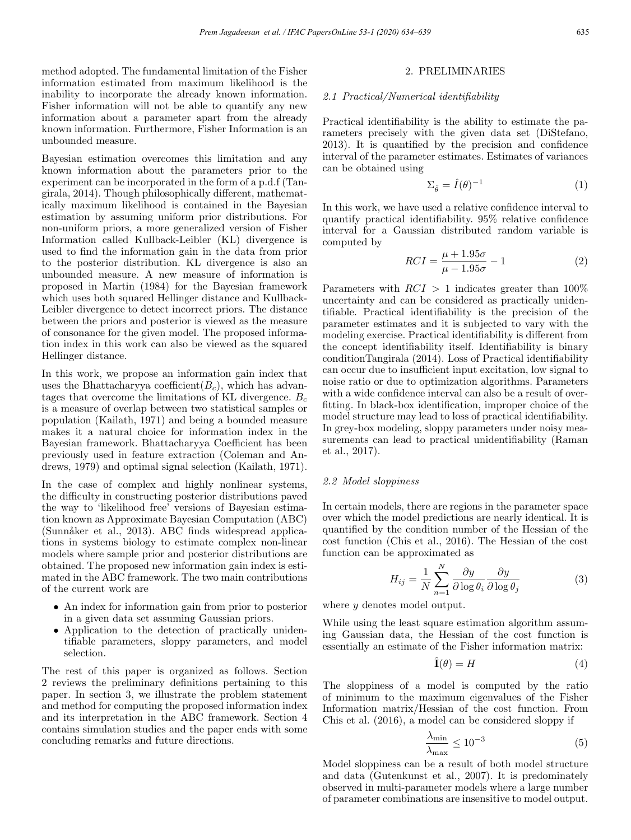method adopted. The fundamental limitation of the Fisher information estimated from maximum likelihood is the inability to incorporate the already known information. Fisher information will not be able to quantify any new information about a parameter apart from the already known information. Furthermore, Fisher Information is an unbounded measure.

Bayesian estimation overcomes this limitation and any known information about the parameters prior to the experiment can be incorporated in the form of a p.d.f (Tangirala, 2014). Though philosophically different, mathematically maximum likelihood is contained in the Bayesian estimation by assuming uniform prior distributions. For non-uniform priors, a more generalized version of Fisher Information called Kullback-Leibler (KL) divergence is used to find the information gain in the data from prior to the posterior distribution. KL divergence is also an unbounded measure. A new measure of information is proposed in Martin (1984) for the Bayesian framework which uses both squared Hellinger distance and Kullback-Leibler divergence to detect incorrect priors. The distance between the priors and posterior is viewed as the measure of consonance for the given model. The proposed information index in this work can also be viewed as the squared Hellinger distance.

In this work, we propose an information gain index that uses the Bhattacharyya coefficient( $B<sub>c</sub>$ ), which has advantages that overcome the limitations of KL divergence.  $B_c$ is a measure of overlap between two statistical samples or population (Kailath, 1971) and being a bounded measure makes it a natural choice for information index in the Bayesian framework. Bhattacharyya Coefficient has been previously used in feature extraction (Coleman and Andrews, 1979) and optimal signal selection (Kailath, 1971).

In the case of complex and highly nonlinear systems, the difficulty in constructing posterior distributions paved the way to 'likelihood free' versions of Bayesian estimation known as Approximate Bayesian Computation (ABC) (Sunnåker et al., 2013). ABC finds widespread applications in systems biology to estimate complex non-linear models where sample prior and posterior distributions are obtained. The proposed new information gain index is estimated in the ABC framework. The two main contributions of the current work are

- An index for information gain from prior to posterior in a given data set assuming Gaussian priors.
- Application to the detection of practically unidentifiable parameters, sloppy parameters, and model selection.

The rest of this paper is organized as follows. Section 2 reviews the preliminary definitions pertaining to this paper. In section 3, we illustrate the problem statement and method for computing the proposed information index and its interpretation in the ABC framework. Section 4 contains simulation studies and the paper ends with some concluding remarks and future directions.

# 2. PRELIMINARIES

#### 2.1 Practical/Numerical identifiability

Practical identifiability is the ability to estimate the parameters precisely with the given data set (DiStefano, 2013). It is quantified by the precision and confidence interval of the parameter estimates. Estimates of variances can be obtained using

$$
\Sigma_{\hat{\theta}} = \hat{I}(\theta)^{-1} \tag{1}
$$

In this work, we have used a relative confidence interval to quantify practical identifiability. 95% relative confidence interval for a Gaussian distributed random variable is computed by

$$
RCI = \frac{\mu + 1.95\sigma}{\mu - 1.95\sigma} - 1\tag{2}
$$

Parameters with  $RCI > 1$  indicates greater than 100% uncertainty and can be considered as practically unidentifiable. Practical identifiability is the precision of the parameter estimates and it is subjected to vary with the modeling exercise. Practical identifiability is different from the concept identifiability itself. Identifiability is binary conditionTangirala (2014). Loss of Practical identifiability can occur due to insufficient input excitation, low signal to noise ratio or due to optimization algorithms. Parameters with a wide confidence interval can also be a result of overfitting. In black-box identification, improper choice of the model structure may lead to loss of practical identifiability. In grey-box modeling, sloppy parameters under noisy measurements can lead to practical unidentifiability (Raman et al., 2017).

# 2.2 Model sloppiness

In certain models, there are regions in the parameter space over which the model predictions are nearly identical. It is quantified by the condition number of the Hessian of the cost function (Chis et al., 2016). The Hessian of the cost function can be approximated as

$$
H_{ij} = \frac{1}{N} \sum_{n=1}^{N} \frac{\partial y}{\partial \log \theta_i} \frac{\partial y}{\partial \log \theta_j}
$$
(3)

where  $y$  denotes model output.

While using the least square estimation algorithm assuming Gaussian data, the Hessian of the cost function is essentially an estimate of the Fisher information matrix:

$$
\hat{\mathbf{I}}(\theta) = H \tag{4}
$$

The sloppiness of a model is computed by the ratio of minimum to the maximum eigenvalues of the Fisher Information matrix/Hessian of the cost function. From Chis et al. (2016), a model can be considered sloppy if

$$
\frac{\lambda_{\min}}{\lambda_{\max}} \le 10^{-3} \tag{5}
$$

Model sloppiness can be a result of both model structure and data (Gutenkunst et al., 2007). It is predominately observed in multi-parameter models where a large number of parameter combinations are insensitive to model output.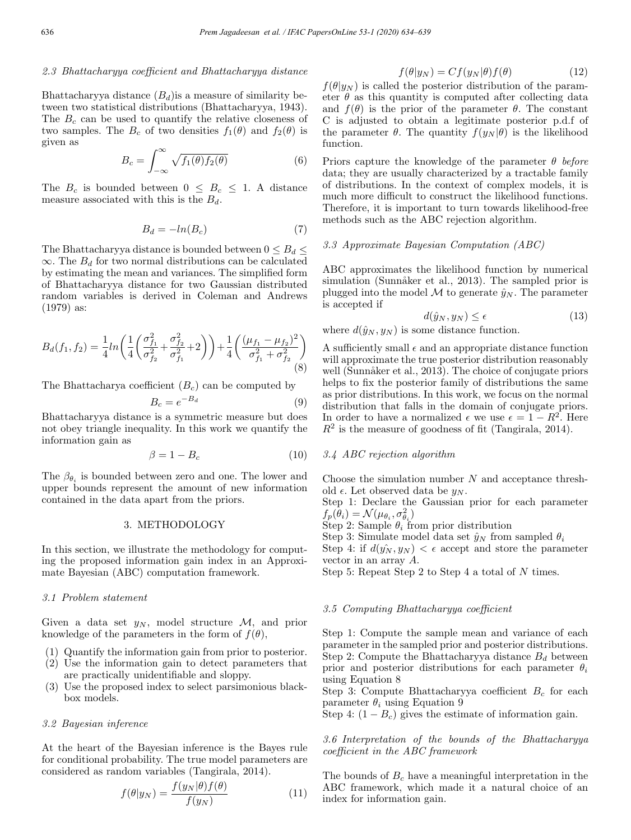# 2.3 Bhattacharyya coefficient and Bhattacharyya distance

Bhattacharyya distance  $(B_d)$  is a measure of similarity between two statistical distributions (Bhattacharyya, 1943). The  $B<sub>c</sub>$  can be used to quantify the relative closeness of two samples. The  $B_c$  of two densities  $f_1(\theta)$  and  $f_2(\theta)$  is given as

$$
B_c = \int_{-\infty}^{\infty} \sqrt{f_1(\theta) f_2(\theta)} \tag{6}
$$

The  $B_c$  is bounded between  $0 \leq B_c \leq 1$ . A distance measure associated with this is the  $B_d$ .

$$
B_d = -\ln(B_c) \tag{7}
$$

The Bhattacharyya distance is bounded between  $0 \leq B_d \leq$  $\infty$ . The  $B_d$  for two normal distributions can be calculated by estimating the mean and variances. The simplified form of Bhattacharyya distance for two Gaussian distributed random variables is derived in Coleman and Andrews (1979) as:

$$
B_d(f_1, f_2) = \frac{1}{4} ln \left( \frac{1}{4} \left( \frac{\sigma_{f_1}^2}{\sigma_{f_2}^2} + \frac{\sigma_{f_2}^2}{\sigma_{f_1}^2} + 2 \right) \right) + \frac{1}{4} \left( \frac{(\mu_{f_1} - \mu_{f_2})^2}{\sigma_{f_1}^2 + \sigma_{f_2}^2} \right)
$$
(8)

The Bhattacharya coefficient  $(B<sub>c</sub>)$  can be computed by

$$
B_c = e^{-B_d} \tag{9}
$$

Bhattacharyya distance is a symmetric measure but does not obey triangle inequality. In this work we quantify the information gain as

$$
\beta = 1 - B_c \tag{10}
$$

The  $\beta_{\theta_i}$  is bounded between zero and one. The lower and upper bounds represent the amount of new information contained in the data apart from the priors.

## 3. METHODOLOGY

In this section, we illustrate the methodology for computing the proposed information gain index in an Approximate Bayesian (ABC) computation framework.

#### 3.1 Problem statement

Given a data set  $y_N$ , model structure M, and prior knowledge of the parameters in the form of  $f(\theta)$ ,

- (1) Quantify the information gain from prior to posterior.
- (2) Use the information gain to detect parameters that are practically unidentifiable and sloppy.
- (3) Use the proposed index to select parsimonious blackbox models.

# 3.2 Bayesian inference

At the heart of the Bayesian inference is the Bayes rule for conditional probability. The true model parameters are considered as random variables (Tangirala, 2014).

$$
f(\theta|y_N) = \frac{f(y_N|\theta)f(\theta)}{f(y_N)}
$$
(11)

$$
f(\theta|y_N) = Cf(y_N|\theta)f(\theta)
$$
 (12)

 $f(\theta|y_N)$  is called the posterior distribution of the parameter  $\theta$  as this quantity is computed after collecting data and  $f(\theta)$  is the prior of the parameter  $\theta$ . The constant C is adjusted to obtain a legitimate posterior p.d.f of the parameter  $\theta$ . The quantity  $f(y_N|\theta)$  is the likelihood function.

Priors capture the knowledge of the parameter  $\theta$  before data; they are usually characterized by a tractable family of distributions. In the context of complex models, it is much more difficult to construct the likelihood functions. Therefore, it is important to turn towards likelihood-free methods such as the ABC rejection algorithm.

#### 3.3 Approximate Bayesian Computation (ABC)

ABC approximates the likelihood function by numerical simulation (Sunnåker et al., 2013). The sampled prior is plugged into the model M to generate  $\hat{y}_N$ . The parameter is accepted if

$$
d(\hat{y}_N, y_N) \le \epsilon \tag{13}
$$

where  $d(\hat{y}_N, y_N)$  is some distance function.

A sufficiently small  $\epsilon$  and an appropriate distance function will approximate the true posterior distribution reasonably well (Sunnåker et al., 2013). The choice of conjugate priors helps to fix the posterior family of distributions the same as prior distributions. In this work, we focus on the normal distribution that falls in the domain of conjugate priors. In order to have a normalized  $\epsilon$  we use  $\epsilon = 1 - R^2$ . Here  $R<sup>2</sup>$  is the measure of goodness of fit (Tangirala, 2014).

# 3.4 ABC rejection algorithm

Choose the simulation number  $N$  and acceptance threshold  $\epsilon$ . Let observed data be  $y_N$ .

Step 1: Declare the Gaussian prior for each parameter  $f_p(\theta_i) = \mathcal{N}(\mu_{\theta_i}, \sigma_{\theta_i}^2)$ 

Step 2: Sample  $\theta_i$  from prior distribution

Step 3: Simulate model data set  $\hat{y}_N$  from sampled  $\theta_i$ Step 4: if  $d(y_N, y_N) < \epsilon$  accept and store the parameter vector in an array A.

Step 5: Repeat Step 2 to Step 4 a total of N times.

# 3.5 Computing Bhattacharyya coefficient

Step 1: Compute the sample mean and variance of each parameter in the sampled prior and posterior distributions. Step 2: Compute the Bhattacharyya distance  $B_d$  between prior and posterior distributions for each parameter  $\theta_i$ using Equation 8

Step 3: Compute Bhattacharyya coefficient  $B_c$  for each parameter  $\theta_i$  using Equation 9

Step 4:  $(1 - B<sub>c</sub>)$  gives the estimate of information gain.

# 3.6 Interpretation of the bounds of the Bhattacharyya coefficient in the ABC framework

The bounds of  $B<sub>c</sub>$  have a meaningful interpretation in the ABC framework, which made it a natural choice of an index for information gain.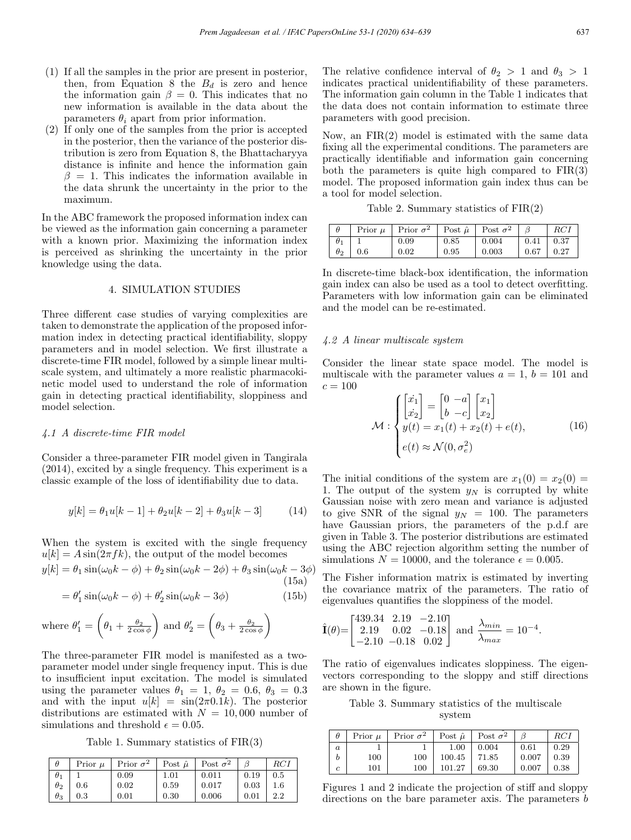- (1) If all the samples in the prior are present in posterior, then, from Equation 8 the  $B_d$  is zero and hence the information gain  $\beta = 0$ . This indicates that no new information is available in the data about the parameters  $\theta_i$  apart from prior information.
- (2) If only one of the samples from the prior is accepted in the posterior, then the variance of the posterior distribution is zero from Equation 8, the Bhattacharyya distance is infinite and hence the information gain  $\beta = 1$ . This indicates the information available in the data shrunk the uncertainty in the prior to the maximum.

In the ABC framework the proposed information index can be viewed as the information gain concerning a parameter with a known prior. Maximizing the information index is perceived as shrinking the uncertainty in the prior knowledge using the data.

# 4. SIMULATION STUDIES

Three different case studies of varying complexities are taken to demonstrate the application of the proposed information index in detecting practical identifiability, sloppy parameters and in model selection. We first illustrate a discrete-time FIR model, followed by a simple linear multiscale system, and ultimately a more realistic pharmacokinetic model used to understand the role of information gain in detecting practical identifiability, sloppiness and model selection.

#### 4.1 A discrete-time FIR model

Consider a three-parameter FIR model given in Tangirala (2014), excited by a single frequency. This experiment is a classic example of the loss of identifiability due to data.

$$
y[k] = \theta_1 u[k-1] + \theta_2 u[k-2] + \theta_3 u[k-3] \tag{14}
$$

When the system is excited with the single frequency  $u[k] = A \sin(2\pi f k)$ , the output of the model becomes

$$
y[k] = \theta_1 \sin(\omega_0 k - \phi) + \theta_2 \sin(\omega_0 k - 2\phi) + \theta_3 \sin(\omega_0 k - 3\phi)
$$
\n(15a)

$$
= \theta_1' \sin(\omega_0 k - \phi) + \theta_2' \sin(\omega_0 k - 3\phi)
$$
 (15b)

where 
$$
\theta'_1 = \left(\theta_1 + \frac{\theta_2}{2\cos\phi}\right)
$$
 and  $\theta'_2 = \left(\theta_3 + \frac{\theta_2}{2\cos\phi}\right)$ 

The three-parameter FIR model is manifested as a twoparameter model under single frequency input. This is due to insufficient input excitation. The model is simulated using the parameter values  $\theta_1 = 1, \theta_2 = 0.6, \theta_3 = 0.3$ and with the input  $u[k] = \sin(2\pi 0.1k)$ . The posterior distributions are estimated with  $N = 10,000$  number of simulations and threshold  $\epsilon = 0.05$ .

Table 1. Summary statistics of FIR(3)

| $\theta$   | Prior $\mu$ | Prior $\sigma^2$ | Post $\hat{\mu}$ | Post $\sigma^2$ |      | RC1     |
|------------|-------------|------------------|------------------|-----------------|------|---------|
| $\theta_1$ |             | 0.09             | 1.01             | 0.011           | 0.19 | 0.5     |
| $\theta_2$ | 0.6         | 0.02             | 0.59             | 0.017           | 0.03 | $1.6\,$ |
| $\theta_3$ | $\rm 0.3$   | 0.01             | 0.30             | 0.006           | 0.01 | 2.2     |

The relative confidence interval of  $\theta_2 > 1$  and  $\theta_3 > 1$ indicates practical unidentifiability of these parameters. The information gain column in the Table 1 indicates that the data does not contain information to estimate three parameters with good precision.

Now, an FIR(2) model is estimated with the same data fixing all the experimental conditions. The parameters are practically identifiable and information gain concerning both the parameters is quite high compared to  $FIR(3)$ model. The proposed information gain index thus can be a tool for model selection.

Table 2. Summary statistics of  $FIR(2)$ 

|            |                  | Prior $\mu$   Prior $\sigma^2$ |      | $\vert$ Post $\hat{\mu} \vert$ Post $\sigma^2$ | B                                                                      | RCI  |
|------------|------------------|--------------------------------|------|------------------------------------------------|------------------------------------------------------------------------|------|
| $\theta_1$ |                  | 0.09                           | 0.85 | 0.004                                          | $\begin{array}{ c c c c c c } \hline 0.41 & 0.37 \ \hline \end{array}$ |      |
|            | $\theta_2$   0.6 | 0.02                           | 0.95 | 0.003                                          | $0.67$                                                                 | 0.27 |

In discrete-time black-box identification, the information gain index can also be used as a tool to detect overfitting. Parameters with low information gain can be eliminated and the model can be re-estimated.

# 4.2 A linear multiscale system

Consider the linear state space model. The model is multiscale with the parameter values  $a = 1$ ,  $b = 101$  and  $c = 100$ 

$$
\mathcal{M}: \begin{cases} \begin{bmatrix} \dot{x}_1 \\ \dot{x}_2 \end{bmatrix} = \begin{bmatrix} 0 & -a \\ b & -c \end{bmatrix} \begin{bmatrix} x_1 \\ x_2 \end{bmatrix} \\ y(t) = x_1(t) + x_2(t) + e(t), \\ e(t) \approx \mathcal{N}(0, \sigma_e^2) \end{cases}
$$
(16)

The initial conditions of the system are  $x_1(0) = x_2(0) =$ 1. The output of the system  $y_N$  is corrupted by white Gaussian noise with zero mean and variance is adjusted to give SNR of the signal  $y_N = 100$ . The parameters have Gaussian priors, the parameters of the p.d.f are given in Table 3. The posterior distributions are estimated using the ABC rejection algorithm setting the number of simulations  $N = 10000$ , and the tolerance  $\epsilon = 0.005$ .

The Fisher information matrix is estimated by inverting the covariance matrix of the parameters. The ratio of eigenvalues quantifies the sloppiness of the model.

$$
\hat{\mathbf{I}}(\theta) = \begin{bmatrix} 439.34 & 2.19 & -2.10 \\ 2.19 & 0.02 & -0.18 \\ -2.10 & -0.18 & 0.02 \end{bmatrix}
$$
 and  $\frac{\lambda_{min}}{\lambda_{max}} = 10^{-4}$ .

The ratio of eigenvalues indicates sloppiness. The eigenvectors corresponding to the sloppy and stiff directions are shown in the figure.

Table 3. Summary statistics of the multiscale system

|                  | Prior $\mu$ | Prior $\sigma^2$ | Post $\hat{\mu}$   Post $\sigma^2$ |       |       | RCI  |
|------------------|-------------|------------------|------------------------------------|-------|-------|------|
| $\boldsymbol{a}$ |             |                  | 1.00                               | 0.004 | 0.61  | 0.29 |
|                  | 100         | 100              | 100.45                             | 71.85 | 0.007 | 0.39 |
| c                | 101         | 100              | 101.27                             | 69.30 | 0.007 | 0.38 |

Figures 1 and 2 indicate the projection of stiff and sloppy directions on the bare parameter axis. The parameters b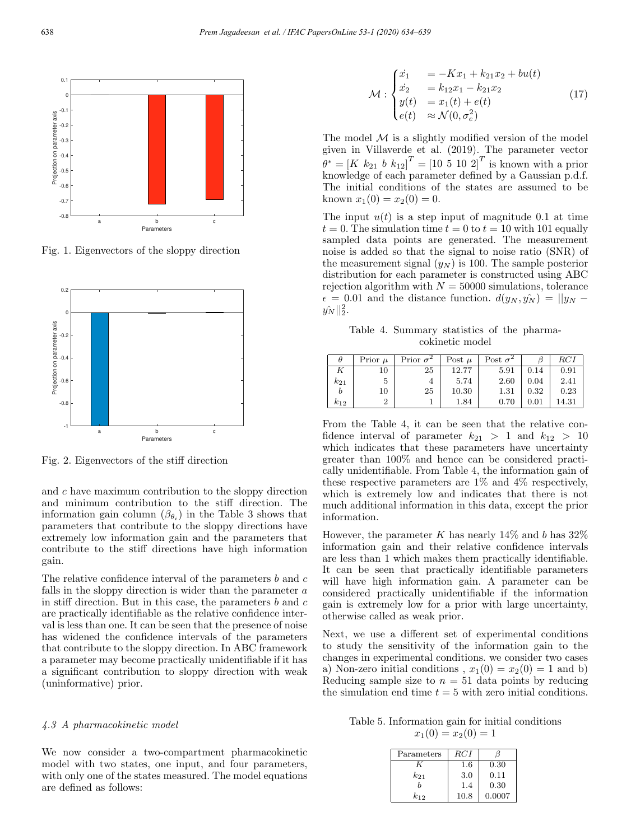

Fig. 1. Eigenvectors of the sloppy direction



Fig. 2. Eigenvectors of the stiff direction

and c have maximum contribution to the sloppy direction and minimum contribution to the stiff direction. The information gain column  $(\beta_{\theta_i})$  in the Table 3 shows that parameters that contribute to the sloppy directions have extremely low information gain and the parameters that contribute to the stiff directions have high information gain.

The relative confidence interval of the parameters  $b$  and  $c$ falls in the sloppy direction is wider than the parameter a in stiff direction. But in this case, the parameters  $b$  and  $c$ are practically identifiable as the relative confidence interval is less than one. It can be seen that the presence of noise has widened the confidence intervals of the parameters that contribute to the sloppy direction. In ABC framework a parameter may become practically unidentifiable if it has a significant contribution to sloppy direction with weak (uninformative) prior.

# 4.3 A pharmacokinetic model

We now consider a two-compartment pharmacokinetic model with two states, one input, and four parameters, with only one of the states measured. The model equations are defined as follows:

$$
\mathcal{M}: \begin{cases} \n\dot{x}_1 &= -Kx_1 + k_{21}x_2 + bu(t) \\ \n\dot{x}_2 &= k_{12}x_1 - k_{21}x_2 \\ \n\dot{y}(t) &= x_1(t) + e(t) \\ \n\dot{e}(t) & \approx \mathcal{N}(0, \sigma_e^2) \n\end{cases} \tag{17}
$$

The model  $M$  is a slightly modified version of the model given in Villaverde et al. (2019). The parameter vector  $\ddot{\theta}^* = [K k_{21} b k_{12}]^T = [10 \ 5 \ 10 \ 2]^T$  is known with a prior knowledge of each parameter defined by a Gaussian p.d.f. The initial conditions of the states are assumed to be known  $x_1(0) = x_2(0) = 0$ .

The input  $u(t)$  is a step input of magnitude 0.1 at time  $t = 0$ . The simulation time  $t = 0$  to  $t = 10$  with 101 equally sampled data points are generated. The measurement noise is added so that the signal to noise ratio (SNR) of the measurement signal  $(y_N)$  is 100. The sample posterior distribution for each parameter is constructed using ABC rejection algorithm with  $N = 50000$  simulations, tolerance  $\epsilon = 0.01$  and the distance function.  $d(y_N, \hat{y_N}) = ||y_N - \hat{y_N}||$  $y_N^2||_2^2$ .

Table 4. Summary statistics of the pharmacokinetic model

| θ        | Prior $\mu$ | Prior $\sigma^2$ | Post $\mu$ | Post $\sigma^2$ |      | $_{RCI}$ |
|----------|-------------|------------------|------------|-----------------|------|----------|
|          | 10          | 25               | 12.77      | 5.91            | 0.14 | 0.91     |
| $k_{21}$ | 5           |                  | 5.74       | 2.60            | 0.04 | 2.41     |
| b        | 10          | 25               | 10.30      | 1.31            | 0.32 | 0.23     |
| $k_{12}$ | 2           |                  | 1.84       | 0.70            | 0.01 | 14.31    |

From the Table 4, it can be seen that the relative confidence interval of parameter  $k_{21} > 1$  and  $k_{12} > 10$ which indicates that these parameters have uncertainty greater than 100% and hence can be considered practically unidentifiable. From Table 4, the information gain of these respective parameters are 1% and 4% respectively, which is extremely low and indicates that there is not much additional information in this data, except the prior information.

However, the parameter K has nearly  $14\%$  and b has  $32\%$ information gain and their relative confidence intervals are less than 1 which makes them practically identifiable. It can be seen that practically identifiable parameters will have high information gain. A parameter can be considered practically unidentifiable if the information gain is extremely low for a prior with large uncertainty, otherwise called as weak prior.

Next, we use a different set of experimental conditions to study the sensitivity of the information gain to the changes in experimental conditions. we consider two cases a) Non-zero initial conditions,  $x_1(0) = x_2(0) = 1$  and b) Reducing sample size to  $n = 51$  data points by reducing the simulation end time  $t = 5$  with zero initial conditions.

Table 5. Information gain for initial conditions  $x_1(0) = x_2(0) = 1$ 

| Parameters | RC I    |        |
|------------|---------|--------|
|            | $1.6\,$ | 0.30   |
| $k_{21}$   | 3.0     | 0.11   |
|            | 1.4     | 0.30   |
| $k_{12}$   | 10.8    | 0.0007 |